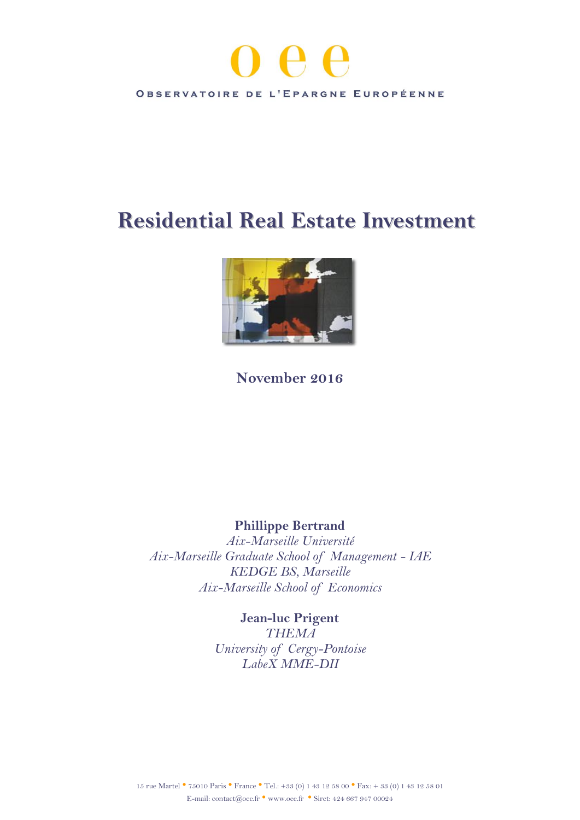# OBSERVATOIRE DE L'EPARGNE EUROPÉENNE

## **Residential Real Estate Investment**



## **November 2016**

## **Phillippe Bertrand**

*Aix-Marseille Université Aix-Marseille Graduate School of Management - IAE KEDGE BS, Marseille Aix-Marseille School of Economics*

## **Jean-luc Prigent**

*THEMA University of Cergy-Pontoise LabeX MME-DII*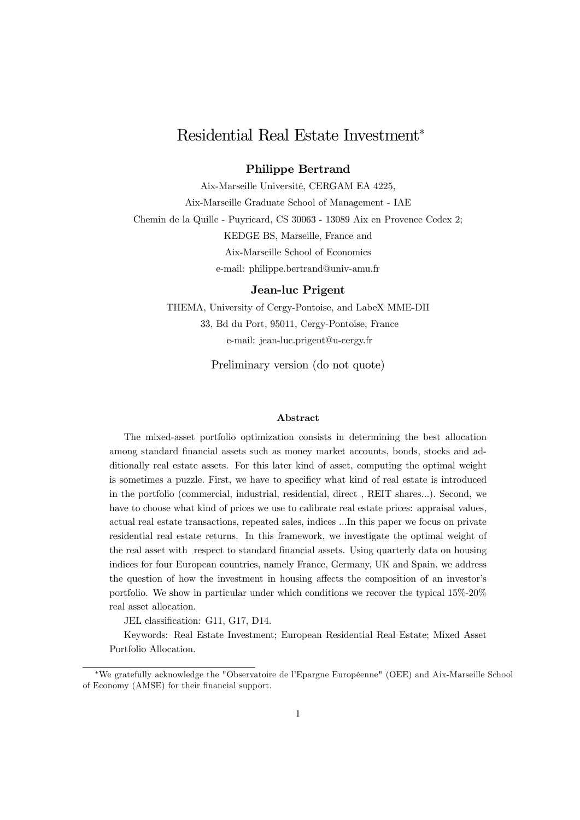### Residential Real Estate Investment<sup>∗</sup>

#### Philippe Bertrand

Aix-Marseille Université, CERGAM EA 4225, Aix-Marseille Graduate School of Management - IAE Chemin de la Quille - Puyricard, CS 30063 - 13089 Aix en Provence Cedex 2; KEDGE BS, Marseille, France and Aix-Marseille School of Economics e-mail: philippe.bertrand@univ-amu.fr

#### Jean-luc Prigent

THEMA, University of Cergy-Pontoise, and LabeX MME-DII 33, Bd du Port, 95011, Cergy-Pontoise, France e-mail: jean-luc.prigent@u-cergy.fr

Preliminary version (do not quote)

#### Abstract

The mixed-asset portfolio optimization consists in determining the best allocation among standard financial assets such as money market accounts, bonds, stocks and additionally real estate assets. For this later kind of asset, computing the optimal weight is sometimes a puzzle. First, we have to specificy what kind of real estate is introduced in the portfolio (commercial, industrial, residential, direct , REIT shares...). Second, we have to choose what kind of prices we use to calibrate real estate prices: appraisal values, actual real estate transactions, repeated sales, indices ...In this paper we focus on private residential real estate returns. In this framework, we investigate the optimal weight of the real asset with respect to standard financial assets. Using quarterly data on housing indices for four European countries, namely France, Germany, UK and Spain, we address the question of how the investment in housing affects the composition of an investor's portfolio. We show in particular under which conditions we recover the typical 15%-20% real asset allocation.

JEL classification: G11, G17, D14.

Keywords: Real Estate Investment; European Residential Real Estate; Mixed Asset Portfolio Allocation.

<sup>∗</sup>We gratefully acknowledge the "Observatoire de l'Epargne Européenne" (OEE) and Aix-Marseille School of Economy (AMSE) for their financial support.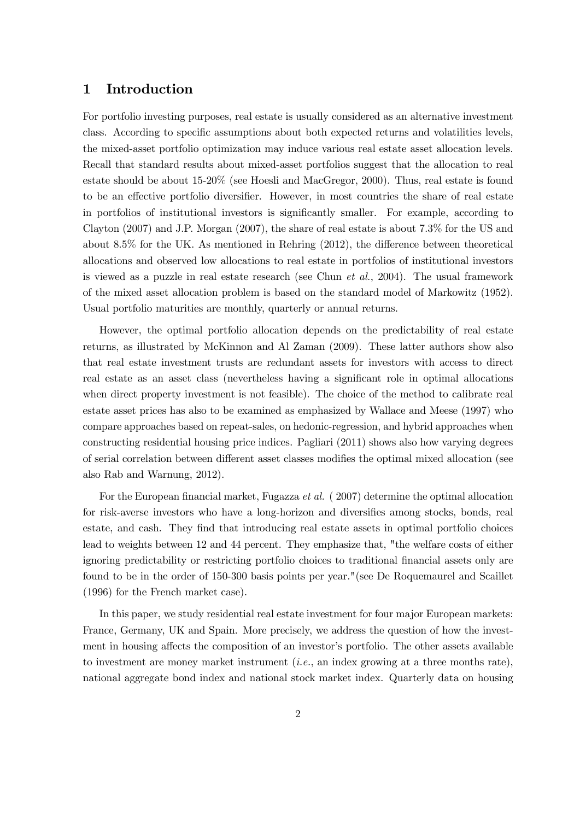#### 1 Introduction

For portfolio investing purposes, real estate is usually considered as an alternative investment class. According to specific assumptions about both expected returns and volatilities levels, the mixed-asset portfolio optimization may induce various real estate asset allocation levels. Recall that standard results about mixed-asset portfolios suggest that the allocation to real estate should be about 15-20% (see Hoesli and MacGregor, 2000). Thus, real estate is found to be an effective portfolio diversifier. However, in most countries the share of real estate in portfolios of institutional investors is significantly smaller. For example, according to Clayton (2007) and J.P. Morgan (2007), the share of real estate is about 7.3% for the US and about 8.5% for the UK. As mentioned in Rehring (2012), the difference between theoretical allocations and observed low allocations to real estate in portfolios of institutional investors is viewed as a puzzle in real estate research (see Chun *et al.*, 2004). The usual framework of the mixed asset allocation problem is based on the standard model of Markowitz (1952). Usual portfolio maturities are monthly, quarterly or annual returns.

However, the optimal portfolio allocation depends on the predictability of real estate returns, as illustrated by McKinnon and Al Zaman (2009). These latter authors show also that real estate investment trusts are redundant assets for investors with access to direct real estate as an asset class (nevertheless having a significant role in optimal allocations when direct property investment is not feasible). The choice of the method to calibrate real estate asset prices has also to be examined as emphasized by Wallace and Meese (1997) who compare approaches based on repeat-sales, on hedonic-regression, and hybrid approaches when constructing residential housing price indices. Pagliari (2011) shows also how varying degrees of serial correlation between different asset classes modifies the optimal mixed allocation (see also Rab and Warnung, 2012).

For the European financial market, Fugazza et al. ( 2007) determine the optimal allocation for risk-averse investors who have a long-horizon and diversifies among stocks, bonds, real estate, and cash. They find that introducing real estate assets in optimal portfolio choices lead to weights between 12 and 44 percent. They emphasize that, "the welfare costs of either ignoring predictability or restricting portfolio choices to traditional financial assets only are found to be in the order of 150-300 basis points per year."(see De Roquemaurel and Scaillet (1996) for the French market case).

In this paper, we study residential real estate investment for four major European markets: France, Germany, UK and Spain. More precisely, we address the question of how the investment in housing affects the composition of an investor's portfolio. The other assets available to investment are money market instrument (i.e., an index growing at a three months rate), national aggregate bond index and national stock market index. Quarterly data on housing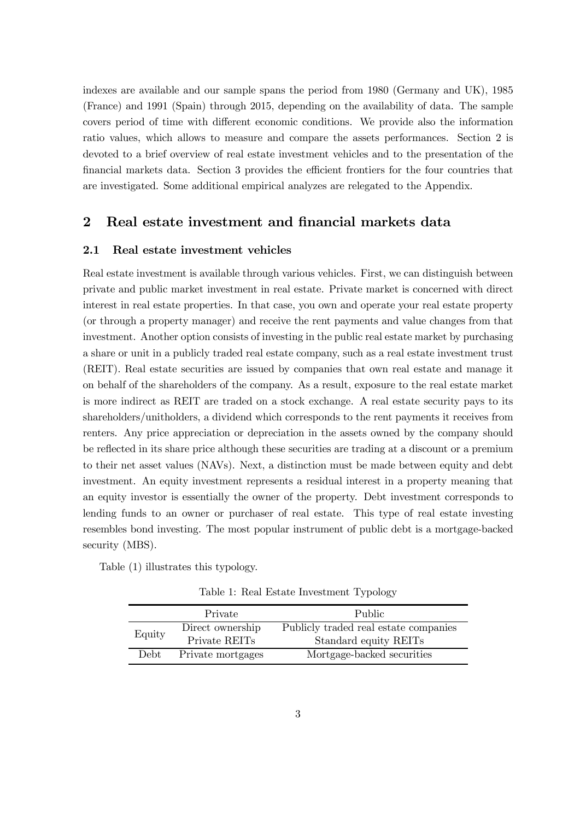indexes are available and our sample spans the period from 1980 (Germany and UK), 1985 (France) and 1991 (Spain) through 2015, depending on the availability of data. The sample covers period of time with different economic conditions. We provide also the information ratio values, which allows to measure and compare the assets performances. Section 2 is devoted to a brief overview of real estate investment vehicles and to the presentation of the financial markets data. Section 3 provides the efficient frontiers for the four countries that are investigated. Some additional empirical analyzes are relegated to the Appendix.

#### 2 Real estate investment and financial markets data

#### 2.1 Real estate investment vehicles

Real estate investment is available through various vehicles. First, we can distinguish between private and public market investment in real estate. Private market is concerned with direct interest in real estate properties. In that case, you own and operate your real estate property (or through a property manager) and receive the rent payments and value changes from that investment. Another option consists of investing in the public real estate market by purchasing a share or unit in a publicly traded real estate company, such as a real estate investment trust (REIT). Real estate securities are issued by companies that own real estate and manage it on behalf of the shareholders of the company. As a result, exposure to the real estate market is more indirect as REIT are traded on a stock exchange. A real estate security pays to its shareholders/unitholders, a dividend which corresponds to the rent payments it receives from renters. Any price appreciation or depreciation in the assets owned by the company should be reflected in its share price although these securities are trading at a discount or a premium to their net asset values (NAVs). Next, a distinction must be made between equity and debt investment. An equity investment represents a residual interest in a property meaning that an equity investor is essentially the owner of the property. Debt investment corresponds to lending funds to an owner or purchaser of real estate. This type of real estate investing resembles bond investing. The most popular instrument of public debt is a mortgage-backed security (MBS).

Table (1) illustrates this typology.

Table 1: Real Estate Investment Typology

|        | Private                            | Public.                                             |
|--------|------------------------------------|-----------------------------------------------------|
| Equity | Direct ownership                   | Publicly traded real estate companies               |
| Debt.  | Private REITs<br>Private mortgages | Standard equity REITs<br>Mortgage-backed securities |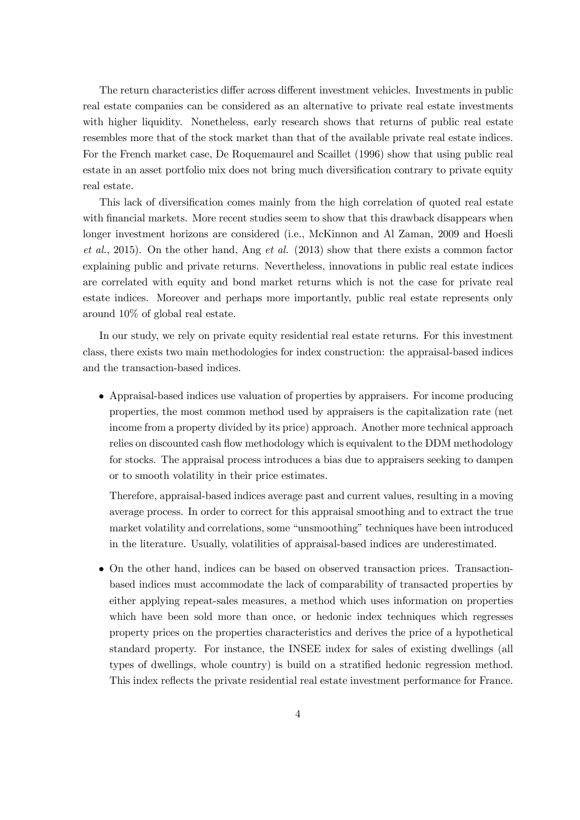The return characteristics differ across different investment vehicles. Investments in public real estate companies can be considered as an alternative to private real estate investments with higher liquidity. Nonetheless, early research shows that returns of public real estate resembles more that of the stock market than that of the available private real estate indices. For the French market case, De Roquemaurel and Scaillet (1996) show that using public real estate in an asset portfolio mix does not bring much diversification contrary to private equity real estate.

This lack of diversification comes mainly from the high correlation of quoted real estate with financial markets. More recent studies seem to show that this drawback disappears when longer investment horizons are considered (i.e., McKinnon and Al Zaman, 2009 and Hoesli et al., 2015). On the other hand, Ang et al. (2013) show that there exists a common factor explaining public and private returns. Nevertheless, innovations in public real estate indices are correlated with equity and bond market returns which is not the case for private real estate indices. Moreover and perhaps more importantly, public real estate represents only around 10% of global real estate.

In our study, we rely on private equity residential real estate returns. For this investment class, there exists two main methodologies for index construction: the appraisal-based indices and the transaction-based indices.

• Appraisal-based indices use valuation of properties by appraisers. For income producing properties, the most common method used by appraisers is the capitalization rate (net income from a property divided by its price) approach. Another more technical approach relies on discounted cash flow methodology which is equivalent to the DDM methodology for stocks. The appraisal process introduces a bias due to appraisers seeking to dampen or to smooth volatility in their price estimates.

Therefore, appraisal-based indices average past and current values, resulting in a moving average process. In order to correct for this appraisal smoothing and to extract the true market volatility and correlations, some "unsmoothing" techniques have been introduced in the literature. Usually, volatilities of appraisal-based indices are underestimated.

• On the other hand, indices can be based on observed transaction prices. Transactionbased indices must accommodate the lack of comparability of transacted properties by either applying repeat-sales measures, a method which uses information on properties which have been sold more than once, or hedonic index techniques which regresses property prices on the properties characteristics and derives the price of a hypothetical standard property. For instance, the INSEE index for sales of existing dwellings (all types of dwellings, whole country) is build on a stratified hedonic regression method. This index reflects the private residential real estate investment performance for France.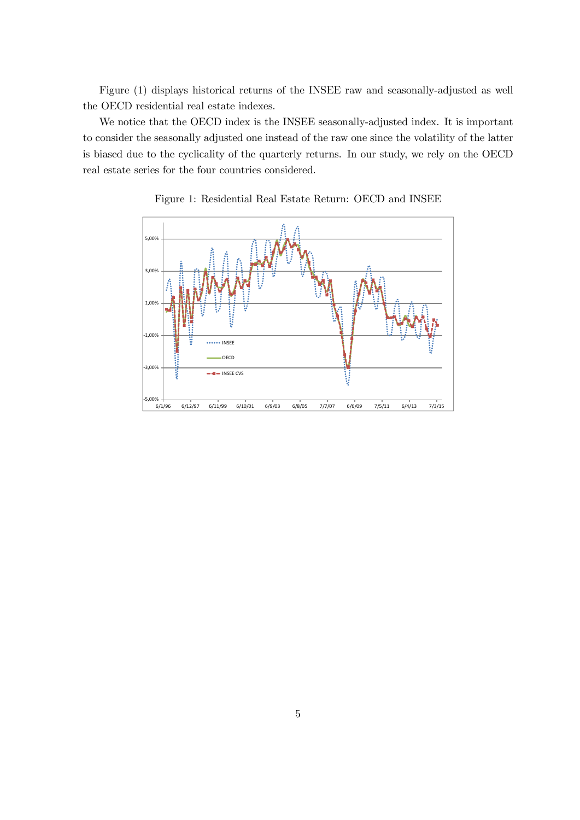Figure (1) displays historical returns of the INSEE raw and seasonally-adjusted as well the OECD residential real estate indexes.

We notice that the OECD index is the INSEE seasonally-adjusted index. It is important to consider the seasonally adjusted one instead of the raw one since the volatility of the latter is biased due to the cyclicality of the quarterly returns. In our study, we rely on the OECD real estate series for the four countries considered.



Figure 1: Residential Real Estate Return: OECD and INSEE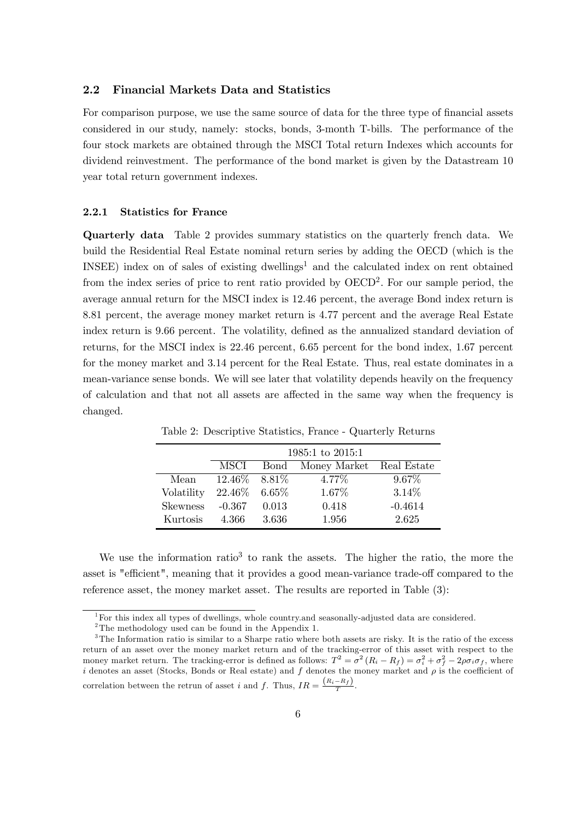#### 2.2 Financial Markets Data and Statistics

For comparison purpose, we use the same source of data for the three type of financial assets considered in our study, namely: stocks, bonds, 3-month T-bills. The performance of the four stock markets are obtained through the MSCI Total return Indexes which accounts for dividend reinvestment. The performance of the bond market is given by the Datastream 10 year total return government indexes.

#### 2.2.1 Statistics for France

Quarterly data Table 2 provides summary statistics on the quarterly french data. We build the Residential Real Estate nominal return series by adding the OECD (which is the INSEE) index on of sales of existing dwellings<sup>1</sup> and the calculated index on rent obtained from the index series of price to rent ratio provided by  $OECD<sup>2</sup>$ . For our sample period, the average annual return for the MSCI index is 12.46 percent, the average Bond index return is 8.81 percent, the average money market return is 4.77 percent and the average Real Estate index return is 9.66 percent. The volatility, defined as the annualized standard deviation of returns, for the MSCI index is 22.46 percent, 6.65 percent for the bond index, 1.67 percent for the money market and 3.14 percent for the Real Estate. Thus, real estate dominates in a mean-variance sense bonds. We will see later that volatility depends heavily on the frequency of calculation and that not all assets are affected in the same way when the frequency is changed.

|                 | 1985:1 to 2015:1 |       |                          |           |  |
|-----------------|------------------|-------|--------------------------|-----------|--|
|                 | MSCI             | Bond  | Money Market Real Estate |           |  |
| Mean            | $12.46\%$ 8.81\% |       | 4.77%                    | $9.67\%$  |  |
| Volatility      | 22.46\% 6.65\%   |       | 1.67%                    | 3.14%     |  |
| <b>Skewness</b> | $-0.367$         | 0.013 | 0.418                    | $-0.4614$ |  |
| Kurtosis        | 4.366            | 3.636 | 1.956                    | 2.625     |  |

Table 2: Descriptive Statistics, France - Quarterly Returns

We use the information ratio<sup>3</sup> to rank the assets. The higher the ratio, the more the asset is "efficient", meaning that it provides a good mean-variance trade-off compared to the reference asset, the money market asset. The results are reported in Table (3):

<sup>1</sup>For this index all types of dwellings, whole country.and seasonally-adjusted data are considered.

<sup>&</sup>lt;sup>2</sup>The methodology used can be found in the Appendix 1.

<sup>&</sup>lt;sup>3</sup>The Information ratio is similar to a Sharpe ratio where both assets are risky. It is the ratio of the excess return of an asset over the money market return and of the tracking-error of this asset with respect to the money market return. The tracking-error is defined as follows:  $T^2 = \sigma^2 (R_i - R_f) = \sigma_i^2 + \sigma_f^2 - 2\rho\sigma_i\sigma_f$ , where i denotes an asset (Stocks, Bonds or Real estate) and f denotes the money market and  $\rho$  is the coefficient of correlation between the retrun of asset i and f. Thus,  $IR = \frac{(R_i - R_f)}{T}$ .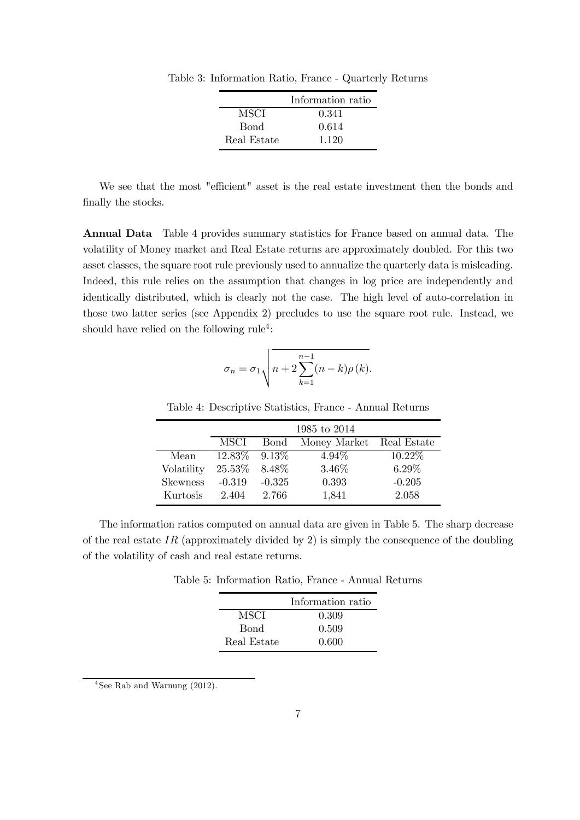|             | Information ratio |
|-------------|-------------------|
| MSCI        | 0.341             |
| <b>Bond</b> | 0.614             |
| Real Estate | 1.120             |

Table 3: Information Ratio, France - Quarterly Returns

We see that the most "efficient" asset is the real estate investment then the bonds and finally the stocks.

Annual Data Table 4 provides summary statistics for France based on annual data. The volatility of Money market and Real Estate returns are approximately doubled. For this two asset classes, the square root rule previously used to annualize the quarterly data is misleading. Indeed, this rule relies on the assumption that changes in log price are independently and identically distributed, which is clearly not the case. The high level of auto-correlation in those two latter series (see Appendix 2) precludes to use the square root rule. Instead, we should have relied on the following rule<sup>4</sup>:

$$
\sigma_n = \sigma_1 \sqrt{n+2 \sum_{k=1}^{n-1} (n-k)\rho(k)}.
$$

Table 4: Descriptive Statistics, France - Annual Returns

|                 | 1985 to 2014       |             |                          |           |  |
|-----------------|--------------------|-------------|--------------------------|-----------|--|
|                 | MSCI               | <b>Bond</b> | Money Market Real Estate |           |  |
| Mean            | $12.83\%$ $9.13\%$ |             | $4.94\%$                 | $10.22\%$ |  |
| Volatility      | 25.53%             | 8.48\%      | 3.46%                    | $6.29\%$  |  |
| <b>Skewness</b> | $-0.319$           | $-0.325$    | 0.393                    | $-0.205$  |  |
| Kurtosis        | 2.404              | 2.766       | 1,841                    | 2.058     |  |

The information ratios computed on annual data are given in Table 5. The sharp decrease of the real estate IR (approximately divided by 2) is simply the consequence of the doubling of the volatility of cash and real estate returns.

Table 5: Information Ratio, France - Annual Returns

|             | Information ratio |
|-------------|-------------------|
| MSCI        | 0.309             |
| <b>Bond</b> | 0.509             |
| Real Estate | 0.600             |

 $4$ See Rab and Warnung (2012).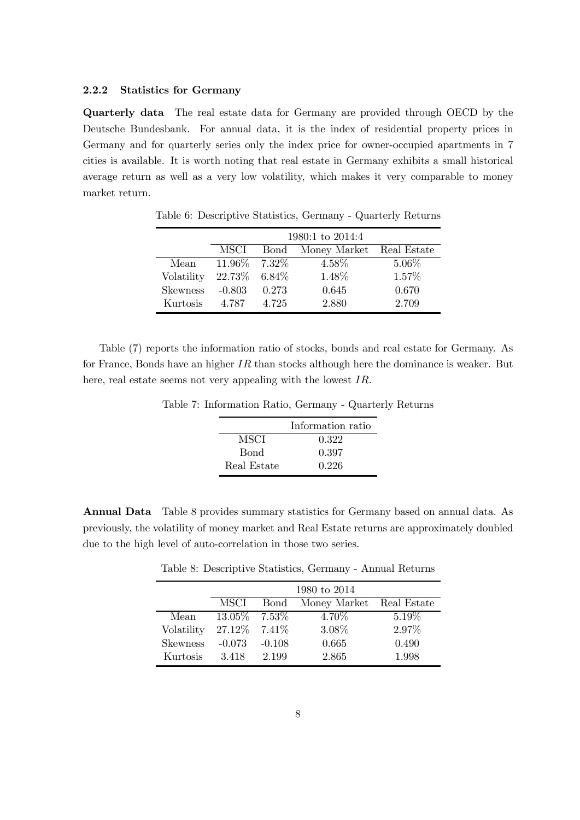#### 2.2.2 Statistics for Germany

Quarterly data The real estate data for Germany are provided through OECD by the Deutsche Bundesbank. For annual data, it is the index of residential property prices in Germany and for quarterly series only the index price for owner-occupied apartments in 7 cities is available. It is worth noting that real estate in Germany exhibits a small historical average return as well as a very low volatility, which makes it very comparable to money market return.

|                 |                  | 1980:1 to 2014:4 |                               |          |  |  |
|-----------------|------------------|------------------|-------------------------------|----------|--|--|
|                 | MSCI             |                  | Bond Money Market Real Estate |          |  |  |
| Mean            | $11.96\%$ 7.32\% |                  | 4.58%                         | $5.06\%$ |  |  |
| Volatility      | 22.73% 6.84%     |                  | 1.48%                         | 1.57%    |  |  |
| <b>Skewness</b> | $-0.803$         | 0.273            | 0.645                         | 0.670    |  |  |
| Kurtosis        | 4.787            | 4.725            | 2.880                         | 2.709    |  |  |

Table 6: Descriptive Statistics, Germany - Quarterly Returns

Table (7) reports the information ratio of stocks, bonds and real estate for Germany. As for France, Bonds have an higher  $IR$  than stocks although here the dominance is weaker. But here, real estate seems not very appealing with the lowest IR.

|             | Information ratio |
|-------------|-------------------|
| MSCI        | 0.322             |
| <b>Bond</b> | 0.397             |
| Real Estate | 0.226             |

Table 7: Information Ratio, Germany - Quarterly Returns

Annual Data Table 8 provides summary statistics for Germany based on annual data. As previously, the volatility of money market and Real Estate returns are approximately doubled due to the high level of auto-correlation in those two series.

|                 | 1980 to 2014     |              |                          |          |  |
|-----------------|------------------|--------------|--------------------------|----------|--|
|                 | MSCI             | <b>B</b> ond | Money Market Real Estate |          |  |
| Mean            | $13.05\%$ 7.53\% |              | 4.70\%                   | $5.19\%$ |  |
| Volatility      | 27.12\% 7.41\%   |              | 3.08%                    | 2.97%    |  |
| <b>Skewness</b> | $-0.073$         | $-0.108$     | 0.665                    | 0.490    |  |
| Kurtosis        | 3.418            | 2.199        | 2.865                    | 1.998    |  |

Table 8: Descriptive Statistics, Germany - Annual Returns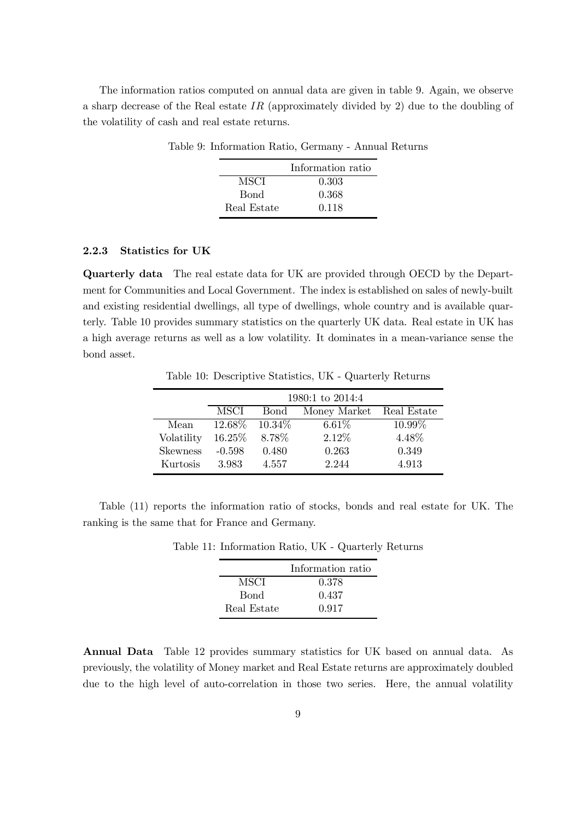The information ratios computed on annual data are given in table 9. Again, we observe a sharp decrease of the Real estate IR (approximately divided by 2) due to the doubling of the volatility of cash and real estate returns.

|             | Information ratio |
|-------------|-------------------|
| MSCI        | 0.303             |
| <b>Bond</b> | 0.368             |
| Real Estate | 0.118             |

Table 9: Information Ratio, Germany - Annual Returns

#### 2.2.3 Statistics for UK

Quarterly data The real estate data for UK are provided through OECD by the Department for Communities and Local Government. The index is established on sales of newly-built and existing residential dwellings, all type of dwellings, whole country and is available quarterly. Table 10 provides summary statistics on the quarterly UK data. Real estate in UK has a high average returns as well as a low volatility. It dominates in a mean-variance sense the bond asset.

Table 10: Descriptive Statistics, UK - Quarterly Returns

|                 | 1980:1 to 2014:4 |           |              |             |  |
|-----------------|------------------|-----------|--------------|-------------|--|
|                 | MSCI             | Bond      | Money Market | Real Estate |  |
| Mean            | 12.68\%          | $10.34\%$ | $6.61\%$     | $10.99\%$   |  |
| Volatility      | $16.25\%$        | 8.78%     | 2.12%        | 4.48%       |  |
| <b>Skewness</b> | $-0.598$         | 0.480     | 0.263        | 0.349       |  |
| Kurtosis        | 3.983            | 4.557     | 2.244        | 4.913       |  |

Table (11) reports the information ratio of stocks, bonds and real estate for UK. The ranking is the same that for France and Germany.

|             | Information ratio |
|-------------|-------------------|
| MSCI        | 0.378             |
| Bond        | 0.437             |
| Real Estate | 0.917             |

Table 11: Information Ratio, UK - Quarterly Returns

Annual Data Table 12 provides summary statistics for UK based on annual data. As previously, the volatility of Money market and Real Estate returns are approximately doubled due to the high level of auto-correlation in those two series. Here, the annual volatility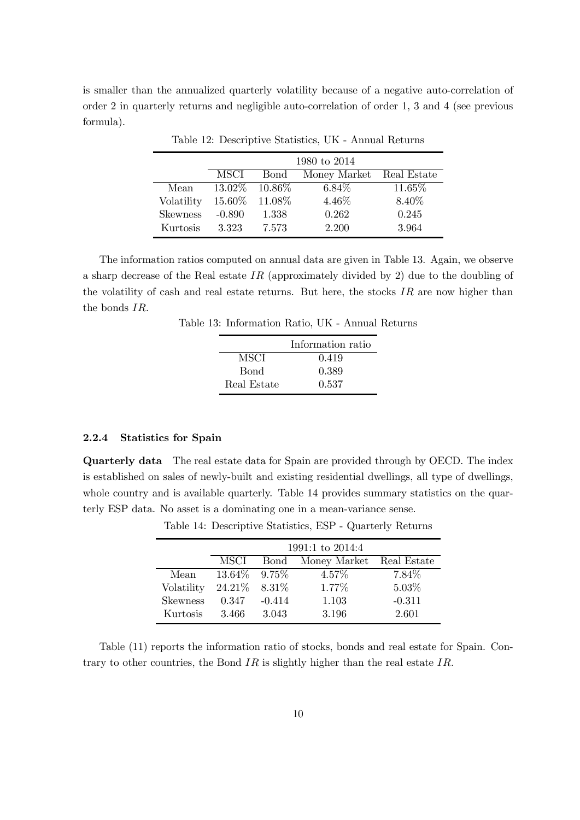is smaller than the annualized quarterly volatility because of a negative auto-correlation of order 2 in quarterly returns and negligible auto-correlation of order 1, 3 and 4 (see previous formula).

|                 |           | 1980 to 2014 |                          |        |  |  |
|-----------------|-----------|--------------|--------------------------|--------|--|--|
|                 | MSCI      | Bond         | Money Market Real Estate |        |  |  |
| Mean            | $13.02\%$ | $10.86\%$    | $6.84\%$                 | 11.65% |  |  |
| Volatility      | 15.60%    | $11.08\%$    | 4.46%                    | 8.40%  |  |  |
| <b>Skewness</b> | $-0.890$  | 1.338        | 0.262                    | 0.245  |  |  |
| Kurtosis        | 3.323     | 7.573        | 2.200                    | 3.964  |  |  |

Table 12: Descriptive Statistics, UK - Annual Returns

The information ratios computed on annual data are given in Table 13. Again, we observe a sharp decrease of the Real estate IR (approximately divided by 2) due to the doubling of the volatility of cash and real estate returns. But here, the stocks  $IR$  are now higher than the bonds IR.

Table 13: Information Ratio, UK - Annual Returns

|             | Information ratio |
|-------------|-------------------|
| MSCI        | 0.419             |
| <b>Bond</b> | 0.389             |
| Real Estate | 0.537             |

#### 2.2.4 Statistics for Spain

Quarterly data The real estate data for Spain are provided through by OECD. The index is established on sales of newly-built and existing residential dwellings, all type of dwellings, whole country and is available quarterly. Table 14 provides summary statistics on the quarterly ESP data. No asset is a dominating one in a mean-variance sense.

|                 | 1991:1 to 2014:4 |             |                          |          |  |  |
|-----------------|------------------|-------------|--------------------------|----------|--|--|
|                 | MSCI             | <b>Bond</b> | Money Market Real Estate |          |  |  |
| Mean            | 13.64\%          | $9.75\%$    | $4.57\%$                 | 7.84\%   |  |  |
| Volatility      | 24.21\%          | $8.31\%$    | 1.77%                    | $5.03\%$ |  |  |
| <b>Skewness</b> | 0.347            | $-0.414$    | 1.103                    | $-0.311$ |  |  |
| Kurtosis        | 3.466            | 3.043       | 3.196                    | 2.601    |  |  |

Table 14: Descriptive Statistics, ESP - Quarterly Returns

Table (11) reports the information ratio of stocks, bonds and real estate for Spain. Contrary to other countries, the Bond IR is slightly higher than the real estate IR.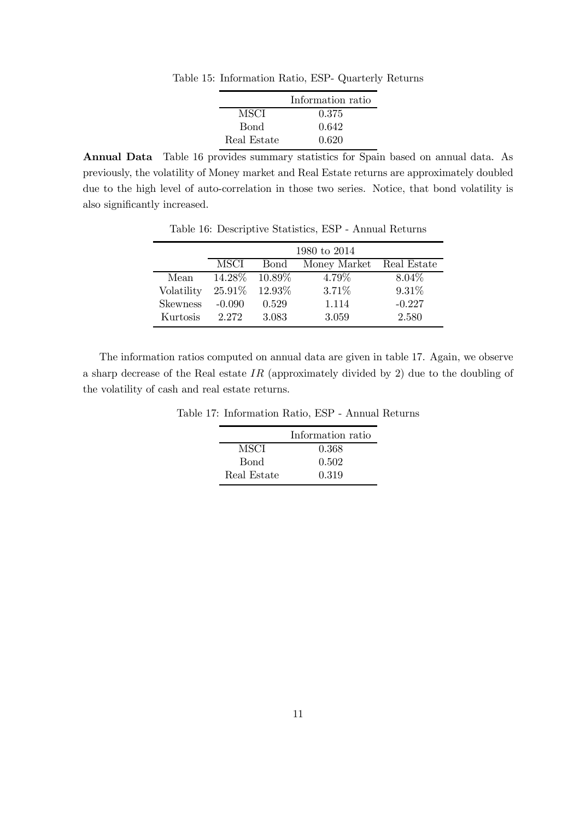Table 15: Information Ratio, ESP- Quarterly Returns

|             | Information ratio |
|-------------|-------------------|
| MSCI        | 0.375             |
| Bond        | 0.642             |
| Real Estate | 0.620             |

Annual Data Table 16 provides summary statistics for Spain based on annual data. As previously, the volatility of Money market and Real Estate returns are approximately doubled due to the high level of auto-correlation in those two series. Notice, that bond volatility is also significantly increased.

|                 |          | 1980 to 2014 |              |             |  |  |  |  |
|-----------------|----------|--------------|--------------|-------------|--|--|--|--|
|                 | MSCI     | Bond         | Money Market | Real Estate |  |  |  |  |
| Mean            | 14.28\%  | 10.89\%      | 4.79%        | $8.04\%$    |  |  |  |  |
| Volatility      | 25.91%   | 12.93%       | 3.71%        | 9.31%       |  |  |  |  |
| <b>Skewness</b> | $-0.090$ | 0.529        | 1.114        | $-0.227$    |  |  |  |  |
| Kurtosis        | 2.272    | 3.083        | 3.059        | 2.580       |  |  |  |  |

Table 16: Descriptive Statistics, ESP - Annual Returns

The information ratios computed on annual data are given in table 17. Again, we observe a sharp decrease of the Real estate  $IR$  (approximately divided by 2) due to the doubling of the volatility of cash and real estate returns.

Table 17: Information Ratio, ESP - Annual Returns

|             | Information ratio |
|-------------|-------------------|
| MSCI        | 0.368             |
| <b>Bond</b> | 0.502             |
| Real Estate | 0.319             |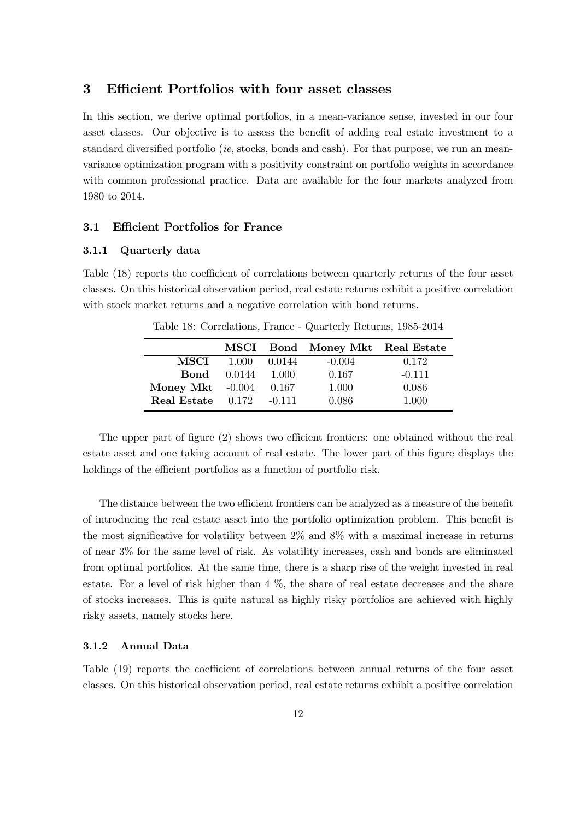#### 3 Efficient Portfolios with four asset classes

In this section, we derive optimal portfolios, in a mean-variance sense, invested in our four asset classes. Our objective is to assess the benefit of adding real estate investment to a standard diversified portfolio *(ie, stocks, bonds and cash)*. For that purpose, we run an meanvariance optimization program with a positivity constraint on portfolio weights in accordance with common professional practice. Data are available for the four markets analyzed from 1980 to 2014.

#### 3.1 Efficient Portfolios for France

#### 3.1.1 Quarterly data

Table (18) reports the coefficient of correlations between quarterly returns of the four asset classes. On this historical observation period, real estate returns exhibit a positive correlation with stock market returns and a negative correlation with bond returns.

|                    |                    |          | MSCI Bond Money Mkt Real Estate |          |
|--------------------|--------------------|----------|---------------------------------|----------|
| MSCI -             | 1.000              | 0.0144   | $-0.004$                        | 0.172    |
|                    | <b>Bond</b> 0.0144 | 1.000    | 0.167                           | $-0.111$ |
| Money Mkt $-0.004$ |                    | 0.167    | 1.000                           | 0.086    |
| Real Estate 0.172  |                    | $-0.111$ | 0.086                           | 1.000    |

Table 18: Correlations, France - Quarterly Returns, 1985-2014

The upper part of figure (2) shows two efficient frontiers: one obtained without the real estate asset and one taking account of real estate. The lower part of this figure displays the holdings of the efficient portfolios as a function of portfolio risk.

The distance between the two efficient frontiers can be analyzed as a measure of the benefit of introducing the real estate asset into the portfolio optimization problem. This benefit is the most significative for volatility between 2% and 8% with a maximal increase in returns of near 3% for the same level of risk. As volatility increases, cash and bonds are eliminated from optimal portfolios. At the same time, there is a sharp rise of the weight invested in real estate. For a level of risk higher than  $4\%$ , the share of real estate decreases and the share of stocks increases. This is quite natural as highly risky portfolios are achieved with highly risky assets, namely stocks here.

#### 3.1.2 Annual Data

Table (19) reports the coefficient of correlations between annual returns of the four asset classes. On this historical observation period, real estate returns exhibit a positive correlation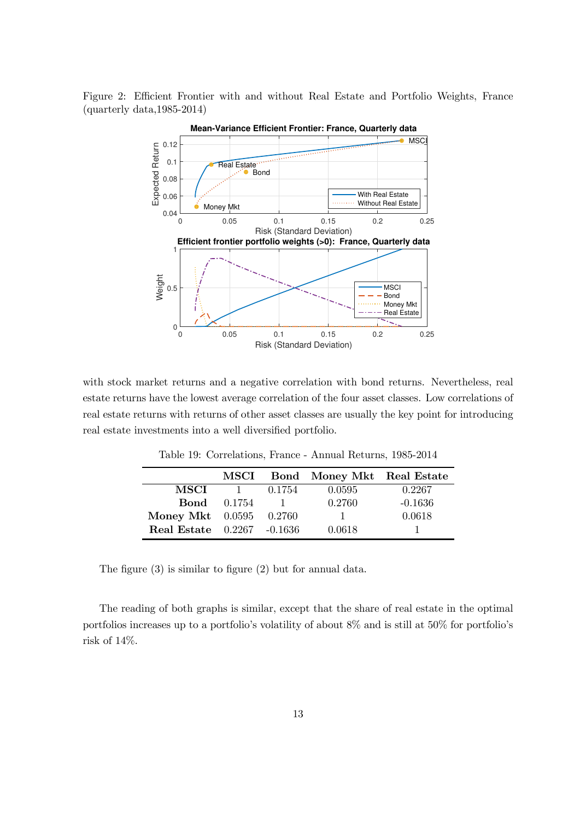Figure 2: Efficient Frontier with and without Real Estate and Portfolio Weights, France (quarterly data,1985-2014)



with stock market returns and a negative correlation with bond returns. Nevertheless, real estate returns have the lowest average correlation of the four asset classes. Low correlations of real estate returns with returns of other asset classes are usually the key point for introducing real estate investments into a well diversified portfolio.

|                                   |                    |        | MSCI Bond Money Mkt Real Estate |           |
|-----------------------------------|--------------------|--------|---------------------------------|-----------|
| MSCI                              |                    | 0.1754 | 0.0595                          | 0.2267    |
|                                   | <b>Bond</b> 0.1754 |        | 0.2760                          | $-0.1636$ |
| <b>Money Mkt</b> 0.0595 0.2760    |                    |        |                                 | 0.0618    |
| <b>Real Estate</b> 0.2267 -0.1636 |                    |        | 0.0618                          |           |

Table 19: Correlations, France - Annual Returns, 1985-2014

The figure (3) is similar to figure (2) but for annual data.

The reading of both graphs is similar, except that the share of real estate in the optimal portfolios increases up to a portfolio's volatility of about 8% and is still at 50% for portfolio's risk of 14%.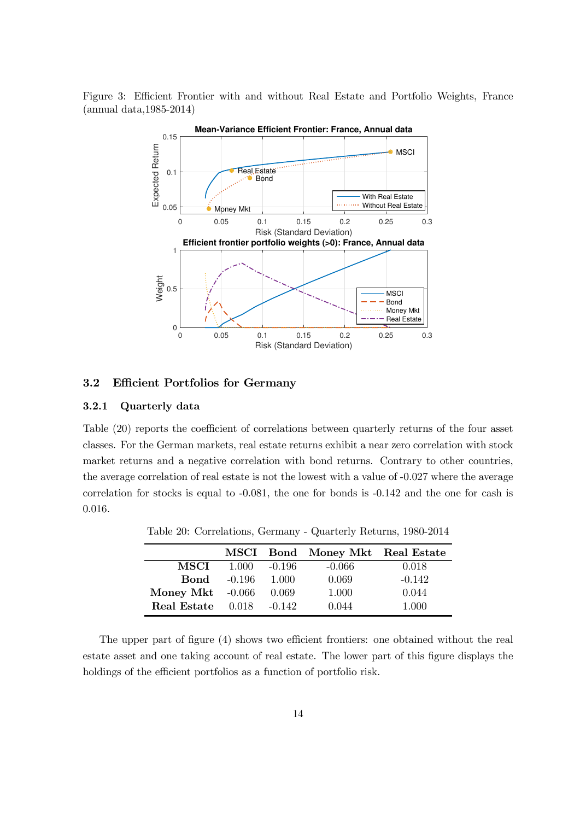Figure 3: Efficient Frontier with and without Real Estate and Portfolio Weights, France (annual data,1985-2014)



#### 3.2 Efficient Portfolios for Germany

#### 3.2.1 Quarterly data

Table (20) reports the coefficient of correlations between quarterly returns of the four asset classes. For the German markets, real estate returns exhibit a near zero correlation with stock market returns and a negative correlation with bond returns. Contrary to other countries, the average correlation of real estate is not the lowest with a value of -0.027 where the average correlation for stocks is equal to -0.081, the one for bonds is -0.142 and the one for cash is 0.016.

|                    |          |          | MSCI Bond Money Mkt Real Estate |          |
|--------------------|----------|----------|---------------------------------|----------|
| MSCI               | 1.000    | -0.196   | $-0.066$                        | 0.018    |
| Bond               | $-0.196$ | 1.000    | 0.069                           | $-0.142$ |
| Money Mkt $-0.066$ |          | 0.069    | 1.000                           | 0.044    |
| Real Estate        | 0.018    | $-0.142$ | 0.044                           | 1.000    |

Table 20: Correlations, Germany - Quarterly Returns, 1980-2014

The upper part of figure (4) shows two efficient frontiers: one obtained without the real estate asset and one taking account of real estate. The lower part of this figure displays the holdings of the efficient portfolios as a function of portfolio risk.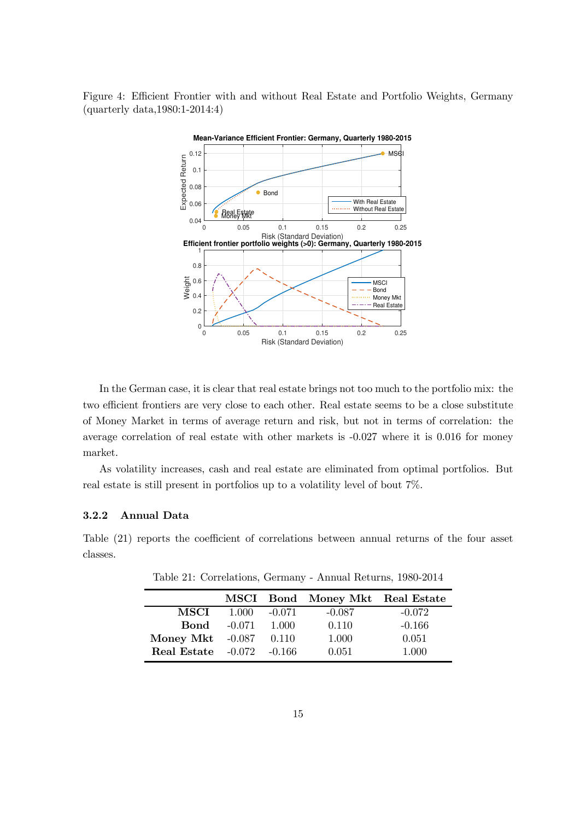Figure 4: Efficient Frontier with and without Real Estate and Portfolio Weights, Germany (quarterly data,1980:1-2014:4)



In the German case, it is clear that real estate brings not too much to the portfolio mix: the two efficient frontiers are very close to each other. Real estate seems to be a close substitute of Money Market in terms of average return and risk, but not in terms of correlation: the average correlation of real estate with other markets is -0.027 where it is 0.016 for money market.

As volatility increases, cash and real estate are eliminated from optimal portfolios. But real estate is still present in portfolios up to a volatility level of bout 7%.

#### 3.2.2 Annual Data

Table (21) reports the coefficient of correlations between annual returns of the four asset classes.

|                                      |       |          | MSCI Bond Money Mkt Real Estate |          |
|--------------------------------------|-------|----------|---------------------------------|----------|
| MSCI -                               | 1.000 | $-0.071$ | $-0.087$                        | $-0.072$ |
| $\mathbf{Bond} = 0.071$              |       | 1.000    | 0.110                           | $-0.166$ |
| <b>Money Mkt</b> -0.087 0.110        |       |          | 1.000                           | 0.051    |
| <b>Real Estate</b> $-0.072$ $-0.166$ |       |          | 0.051                           | 1.000    |

Table 21: Correlations, Germany - Annual Returns, 1980-2014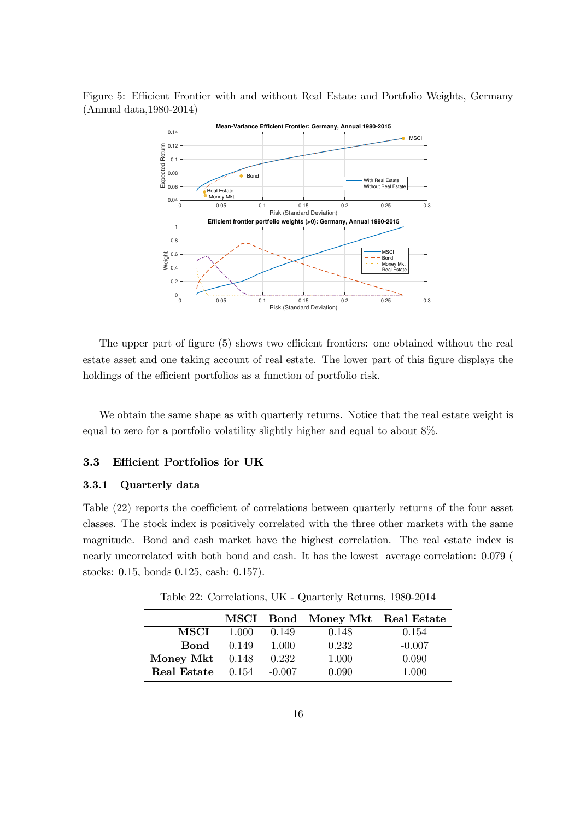Figure 5: Efficient Frontier with and without Real Estate and Portfolio Weights, Germany (Annual data,1980-2014)



The upper part of figure (5) shows two efficient frontiers: one obtained without the real estate asset and one taking account of real estate. The lower part of this figure displays the holdings of the efficient portfolios as a function of portfolio risk.

We obtain the same shape as with quarterly returns. Notice that the real estate weight is equal to zero for a portfolio volatility slightly higher and equal to about 8%.

#### 3.3 Efficient Portfolios for UK

#### 3.3.1 Quarterly data

Table (22) reports the coefficient of correlations between quarterly returns of the four asset classes. The stock index is positively correlated with the three other markets with the same magnitude. Bond and cash market have the highest correlation. The real estate index is nearly uncorrelated with both bond and cash. It has the lowest average correlation: 0.079 ( stocks: 0.15, bonds 0.125, cash: 0.157).

|                   |       |          | MSCI Bond Money Mkt Real Estate |          |
|-------------------|-------|----------|---------------------------------|----------|
| MSCI              | 1.000 | 0.149    | 0.148                           | 0.154    |
| Bond              | 0.149 | -1.000   | 0.232                           | $-0.007$ |
| Money Mkt $0.148$ |       | 0.232    | 1.000                           | 0.090    |
| Real Estate       | 0.154 | $-0.007$ | 0.090                           | 1.000    |

Table 22: Correlations, UK - Quarterly Returns, 1980-2014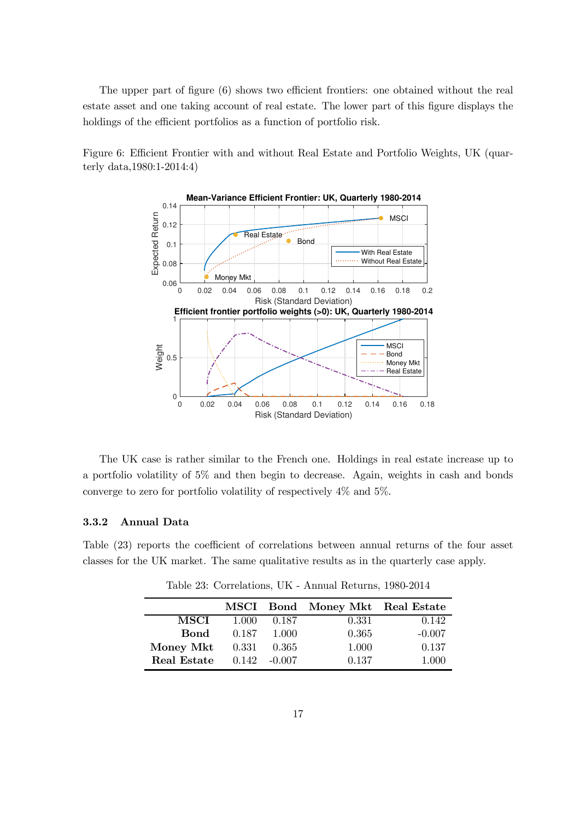The upper part of figure (6) shows two efficient frontiers: one obtained without the real estate asset and one taking account of real estate. The lower part of this figure displays the holdings of the efficient portfolios as a function of portfolio risk.

Figure 6: Efficient Frontier with and without Real Estate and Portfolio Weights, UK (quarterly data,1980:1-2014:4)



The UK case is rather similar to the French one. Holdings in real estate increase up to a portfolio volatility of 5% and then begin to decrease. Again, weights in cash and bonds converge to zero for portfolio volatility of respectively 4% and 5%.

#### 3.3.2 Annual Data

Table (23) reports the coefficient of correlations between annual returns of the four asset classes for the UK market. The same qualitative results as in the quarterly case apply.

|             |       |          | MSCI Bond Money Mkt Real Estate |          |
|-------------|-------|----------|---------------------------------|----------|
| <b>MSCI</b> | 1.000 | 0.187    | 0.331                           | 0.142    |
| Bond        | 0.187 | 1.000    | 0.365                           | $-0.007$ |
| Money Mkt   | 0.331 | 0.365    | 1.000                           | 0.137    |
| Real Estate | 0.142 | $-0.007$ | 0.137                           | 1.000    |

Table 23: Correlations, UK - Annual Returns, 1980-2014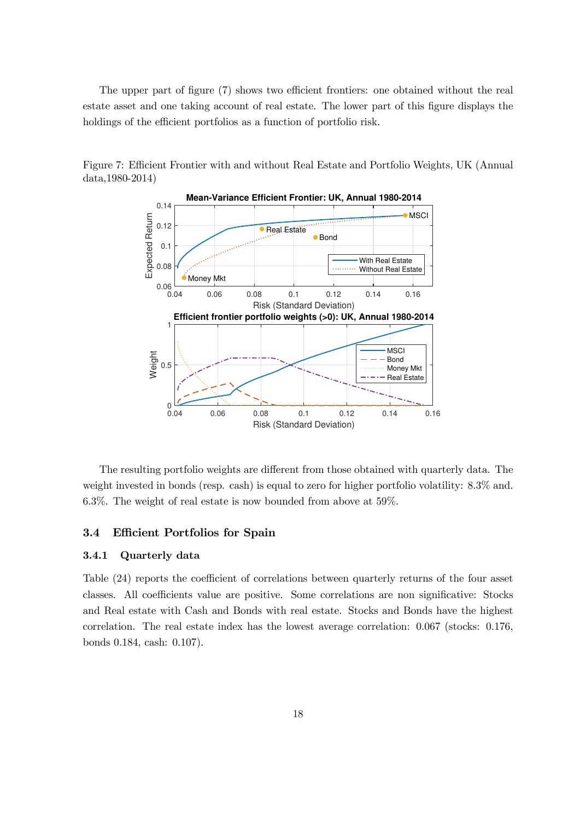The upper part of figure (7) shows two efficient frontiers: one obtained without the real estate asset and one taking account of real estate. The lower part of this figure displays the holdings of the efficient portfolios as a function of portfolio risk.

Figure 7: Efficient Frontier with and without Real Estate and Portfolio Weights, UK (Annual data,1980-2014)



The resulting portfolio weights are different from those obtained with quarterly data. The weight invested in bonds (resp. cash) is equal to zero for higher portfolio volatility: 8.3% and. 6.3%. The weight of real estate is now bounded from above at 59%.

#### 3.4 Efficient Portfolios for Spain

#### 3.4.1 Quarterly data

Table (24) reports the coefficient of correlations between quarterly returns of the four asset classes. All coefficients value are positive. Some correlations are non significative: Stocks and Real estate with Cash and Bonds with real estate. Stocks and Bonds have the highest correlation. The real estate index has the lowest average correlation: 0.067 (stocks: 0.176, bonds 0.184, cash: 0.107).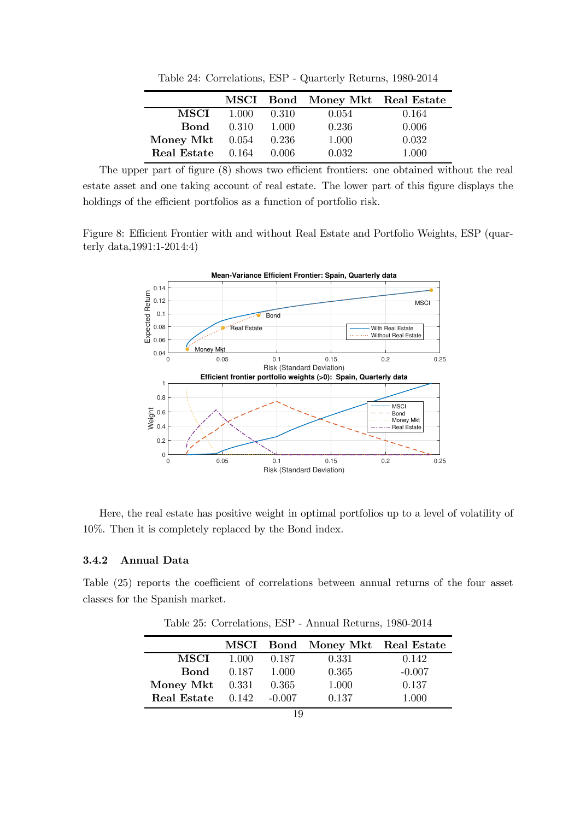|                   |       |         | MSCI Bond Money Mkt Real Estate |       |
|-------------------|-------|---------|---------------------------------|-------|
| <b>MSCI</b>       | 1.000 | 0.310   | 0.054                           | 0.164 |
| Bond              | 0.310 | - 1.000 | 0.236                           | 0.006 |
| Money Mkt $0.054$ |       | 0.236   | 1.000                           | 0.032 |
| Real Estate 0.164 |       | 0.006   | 0.032                           | 1.000 |

Table 24: Correlations, ESP - Quarterly Returns, 1980-2014

The upper part of figure (8) shows two efficient frontiers: one obtained without the real estate asset and one taking account of real estate. The lower part of this figure displays the holdings of the efficient portfolios as a function of portfolio risk.

Figure 8: Efficient Frontier with and without Real Estate and Portfolio Weights, ESP (quarterly data,1991:1-2014:4)



Here, the real estate has positive weight in optimal portfolios up to a level of volatility of 10%. Then it is completely replaced by the Bond index.

#### 3.4.2 Annual Data

Table (25) reports the coefficient of correlations between annual returns of the four asset classes for the Spanish market.

|             |       |          | MSCI Bond Money Mkt Real Estate |          |
|-------------|-------|----------|---------------------------------|----------|
| MSCI        | 1.000 | 0.187    | 0.331                           | 0.142    |
| Bond        | 0.187 | 1.000    | 0.365                           | $-0.007$ |
| Money Mkt   | 0.331 | 0.365    | 1.000                           | 0.137    |
| Real Estate | 0.142 | $-0.007$ | 0.137                           | 1.000    |

Table 25: Correlations, ESP - Annual Returns, 1980-2014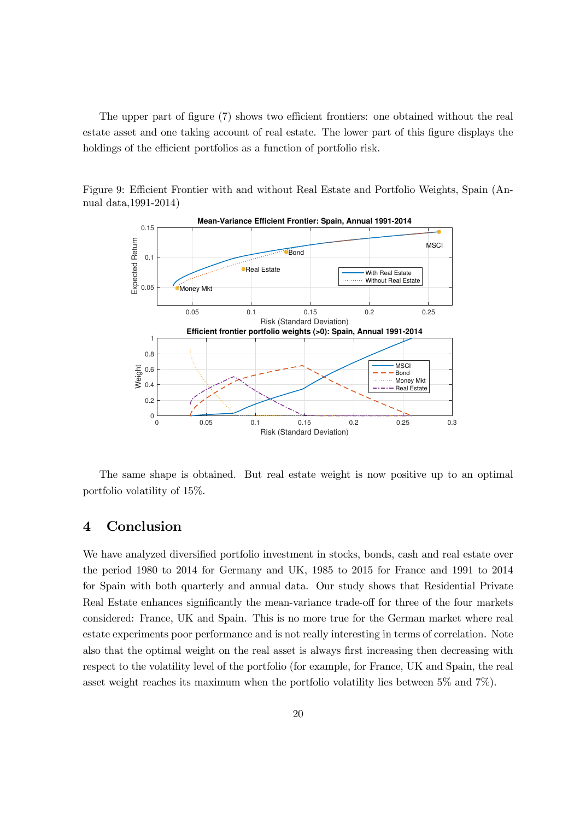The upper part of figure (7) shows two efficient frontiers: one obtained without the real estate asset and one taking account of real estate. The lower part of this figure displays the holdings of the efficient portfolios as a function of portfolio risk.

Figure 9: Efficient Frontier with and without Real Estate and Portfolio Weights, Spain (Annual data,1991-2014)



The same shape is obtained. But real estate weight is now positive up to an optimal portfolio volatility of 15%.

#### 4 Conclusion

We have analyzed diversified portfolio investment in stocks, bonds, cash and real estate over the period 1980 to 2014 for Germany and UK, 1985 to 2015 for France and 1991 to 2014 for Spain with both quarterly and annual data. Our study shows that Residential Private Real Estate enhances significantly the mean-variance trade-off for three of the four markets considered: France, UK and Spain. This is no more true for the German market where real estate experiments poor performance and is not really interesting in terms of correlation. Note also that the optimal weight on the real asset is always first increasing then decreasing with respect to the volatility level of the portfolio (for example, for France, UK and Spain, the real asset weight reaches its maximum when the portfolio volatility lies between 5% and 7%).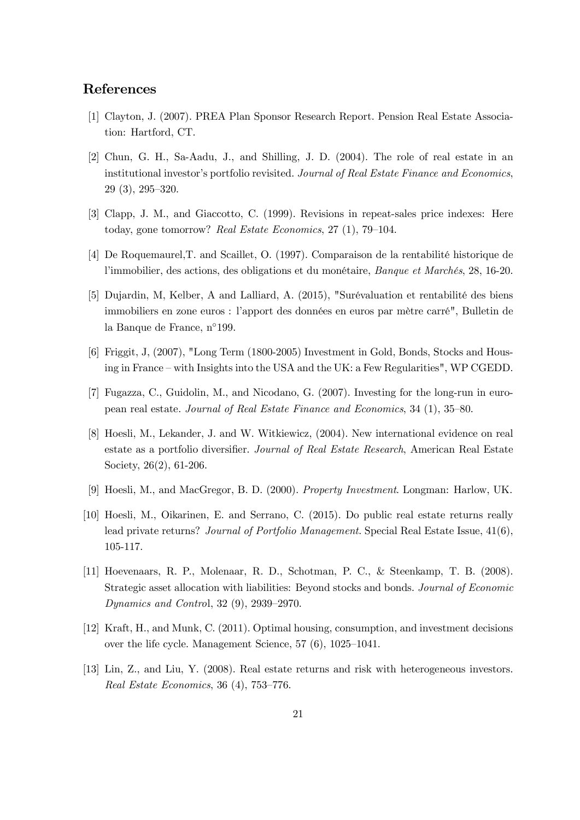#### References

- [1] Clayton, J. (2007). PREA Plan Sponsor Research Report. Pension Real Estate Association: Hartford, CT.
- [2] Chun, G. H., Sa-Aadu, J., and Shilling, J. D. (2004). The role of real estate in an institutional investor's portfolio revisited. Journal of Real Estate Finance and Economics, 29 (3), 295—320.
- [3] Clapp, J. M., and Giaccotto, C. (1999). Revisions in repeat-sales price indexes: Here today, gone tomorrow? Real Estate Economics, 27 (1), 79—104.
- [4] De Roquemaurel,T. and Scaillet, O. (1997). Comparaison de la rentabilité historique de l'immobilier, des actions, des obligations et du monétaire, Banque et Marchés, 28, 16-20.
- [5] Dujardin, M, Kelber, A and Lalliard, A. (2015), "Surévaluation et rentabilité des biens immobiliers en zone euros : l'apport des données en euros par mètre carré", Bulletin de la Banque de France, n◦199.
- [6] Friggit, J, (2007), "Long Term (1800-2005) Investment in Gold, Bonds, Stocks and Housing in France — with Insights into the USA and the UK: a Few Regularities", WP CGEDD.
- [7] Fugazza, C., Guidolin, M., and Nicodano, G. (2007). Investing for the long-run in european real estate. Journal of Real Estate Finance and Economics, 34 (1), 35—80.
- [8] Hoesli, M., Lekander, J. and W. Witkiewicz, (2004). New international evidence on real estate as a portfolio diversifier. Journal of Real Estate Research, American Real Estate Society, 26(2), 61-206.
- [9] Hoesli, M., and MacGregor, B. D. (2000). Property Investment. Longman: Harlow, UK.
- [10] Hoesli, M., Oikarinen, E. and Serrano, C. (2015). Do public real estate returns really lead private returns? Journal of Portfolio Management. Special Real Estate Issue,  $41(6)$ , 105-117.
- [11] Hoevenaars, R. P., Molenaar, R. D., Schotman, P. C., & Steenkamp, T. B. (2008). Strategic asset allocation with liabilities: Beyond stocks and bonds. Journal of Economic Dynamics and Control, 32 (9), 2939—2970.
- [12] Kraft, H., and Munk, C. (2011). Optimal housing, consumption, and investment decisions over the life cycle. Management Science, 57 (6), 1025—1041.
- [13] Lin, Z., and Liu, Y. (2008). Real estate returns and risk with heterogeneous investors. Real Estate Economics, 36 (4), 753—776.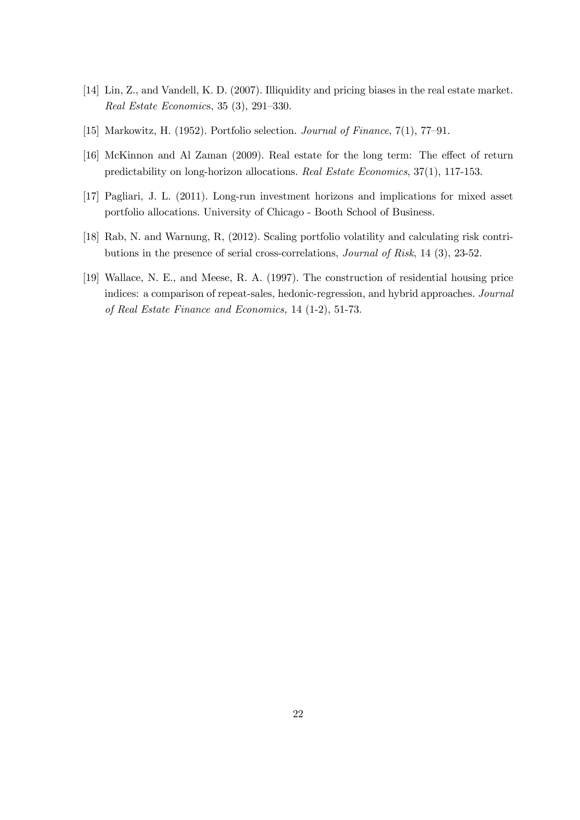- [14] Lin, Z., and Vandell, K. D. (2007). Illiquidity and pricing biases in the real estate market. Real Estate Economics, 35 (3), 291—330.
- [15] Markowitz, H. (1952). Portfolio selection. Journal of Finance, 7(1), 77—91.
- [16] McKinnon and Al Zaman (2009). Real estate for the long term: The effect of return predictability on long-horizon allocations. Real Estate Economics, 37(1), 117-153.
- [17] Pagliari, J. L. (2011). Long-run investment horizons and implications for mixed asset portfolio allocations. University of Chicago - Booth School of Business.
- [18] Rab, N. and Warnung, R, (2012). Scaling portfolio volatility and calculating risk contributions in the presence of serial cross-correlations, Journal of Risk, 14 (3), 23-52.
- [19] Wallace, N. E., and Meese, R. A. (1997). The construction of residential housing price indices: a comparison of repeat-sales, hedonic-regression, and hybrid approaches. Journal of Real Estate Finance and Economics, 14 (1-2), 51-73.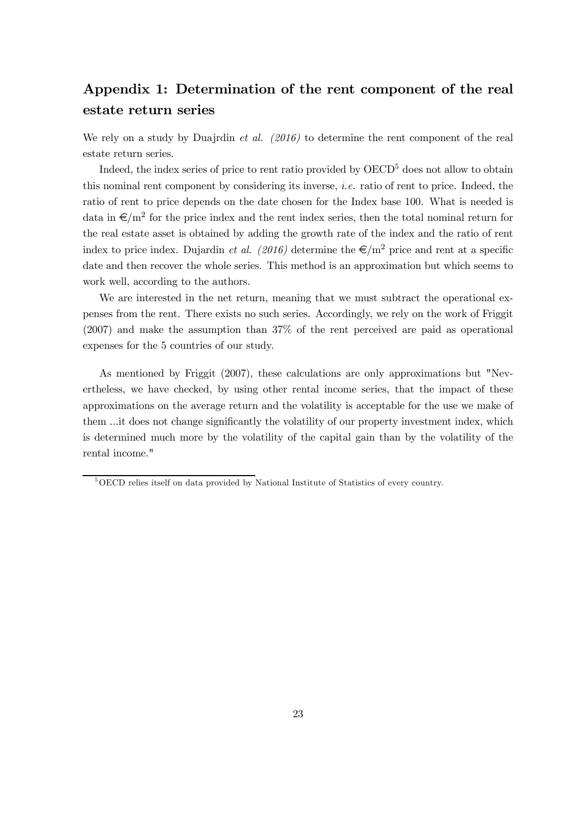## Appendix 1: Determination of the rent component of the real estate return series

We rely on a study by Duajrdin *et al.*  $(2016)$  to determine the rent component of the real estate return series.

Indeed, the index series of price to rent ratio provided by  $OECD<sup>5</sup>$  does not allow to obtain this nominal rent component by considering its inverse, i.e. ratio of rent to price. Indeed, the ratio of rent to price depends on the date chosen for the Index base 100. What is needed is data in  $\epsilon/m^2$  for the price index and the rent index series, then the total nominal return for the real estate asset is obtained by adding the growth rate of the index and the ratio of rent index to price index. Dujardin *et al.* (2016) determine the  $\epsilon/m^2$  price and rent at a specific date and then recover the whole series. This method is an approximation but which seems to work well, according to the authors.

We are interested in the net return, meaning that we must subtract the operational expenses from the rent. There exists no such series. Accordingly, we rely on the work of Friggit (2007) and make the assumption than 37% of the rent perceived are paid as operational expenses for the 5 countries of our study.

As mentioned by Friggit (2007), these calculations are only approximations but "Nevertheless, we have checked, by using other rental income series, that the impact of these approximations on the average return and the volatility is acceptable for the use we make of them ...it does not change significantly the volatility of our property investment index, which is determined much more by the volatility of the capital gain than by the volatility of the rental income."

<sup>5</sup>OECD relies itself on data provided by National Institute of Statistics of every country.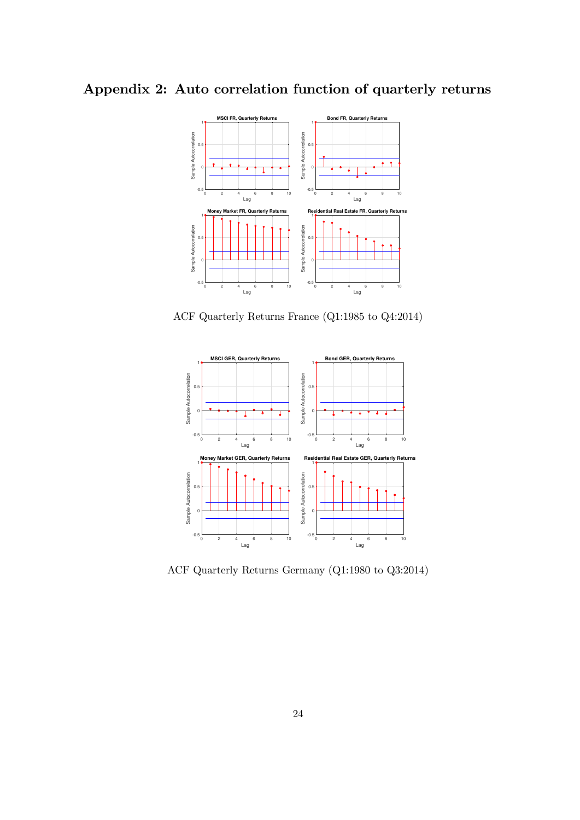## Appendix 2: Auto correlation function of quarterly returns



ACF Quarterly Returns France (Q1:1985 to Q4:2014)



ACF Quarterly Returns Germany (Q1:1980 to Q3:2014)